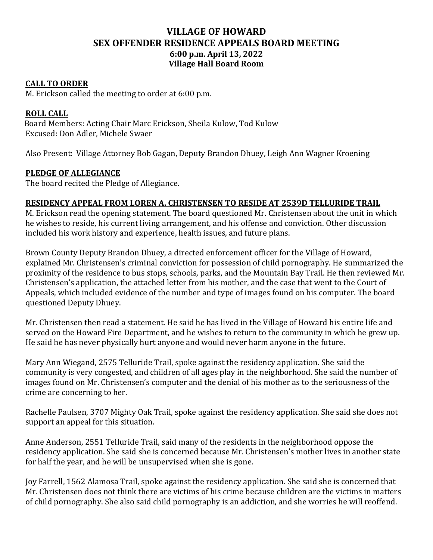# **VILLAGE OF HOWARD SEX OFFENDER RESIDENCE APPEALS BOARD MEETING 6:00 p.m. April 13, 2022 Village Hall Board Room**

#### **CALL TO ORDER**

M. Erickson called the meeting to order at 6:00 p.m.

## **ROLL CALL**

 Board Members: Acting Chair Marc Erickson, Sheila Kulow, Tod Kulow Excused: Don Adler, Michele Swaer

Also Present: Village Attorney Bob Gagan, Deputy Brandon Dhuey, Leigh Ann Wagner Kroening

### **PLEDGE OF ALLEGIANCE**

The board recited the Pledge of Allegiance.

#### **RESIDENCY APPEAL FROM LOREN A. CHRISTENSEN TO RESIDE AT 2539D TELLURIDE TRAIL**

M. Erickson read the opening statement. The board questioned Mr. Christensen about the unit in which he wishes to reside, his current living arrangement, and his offense and conviction. Other discussion included his work history and experience, health issues, and future plans.

Brown County Deputy Brandon Dhuey, a directed enforcement officer for the Village of Howard, explained Mr. Christensen's criminal conviction for possession of child pornography. He summarized the proximity of the residence to bus stops, schools, parks, and the Mountain Bay Trail. He then reviewed Mr. Christensen's application, the attached letter from his mother, and the case that went to the Court of Appeals, which included evidence of the number and type of images found on his computer. The board questioned Deputy Dhuey.

Mr. Christensen then read a statement. He said he has lived in the Village of Howard his entire life and served on the Howard Fire Department, and he wishes to return to the community in which he grew up. He said he has never physically hurt anyone and would never harm anyone in the future.

Mary Ann Wiegand, 2575 Telluride Trail, spoke against the residency application. She said the community is very congested, and children of all ages play in the neighborhood. She said the number of images found on Mr. Christensen's computer and the denial of his mother as to the seriousness of the crime are concerning to her.

Rachelle Paulsen, 3707 Mighty Oak Trail, spoke against the residency application. She said she does not support an appeal for this situation.

Anne Anderson, 2551 Telluride Trail, said many of the residents in the neighborhood oppose the residency application. She said she is concerned because Mr. Christensen's mother lives in another state for half the year, and he will be unsupervised when she is gone.

Joy Farrell, 1562 Alamosa Trail, spoke against the residency application. She said she is concerned that Mr. Christensen does not think there are victims of his crime because children are the victims in matters of child pornography. She also said child pornography is an addiction, and she worries he will reoffend.